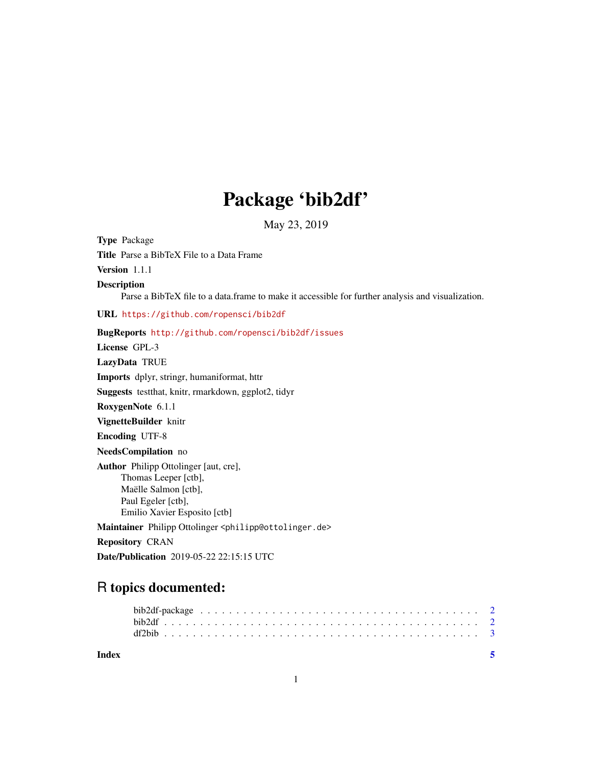## Package 'bib2df'

May 23, 2019

Type Package Title Parse a BibTeX File to a Data Frame Version 1.1.1 Description Parse a BibTeX file to a data.frame to make it accessible for further analysis and visualization. URL <https://github.com/ropensci/bib2df> BugReports <http://github.com/ropensci/bib2df/issues> License GPL-3 LazyData TRUE Imports dplyr, stringr, humaniformat, httr Suggests testthat, knitr, rmarkdown, ggplot2, tidyr RoxygenNote 6.1.1 VignetteBuilder knitr Encoding UTF-8 NeedsCompilation no Author Philipp Ottolinger [aut, cre], Thomas Leeper [ctb], Maëlle Salmon [ctb], Paul Egeler [ctb], Emilio Xavier Esposito [ctb] Maintainer Philipp Ottolinger <philipp@ottolinger.de> Repository CRAN

Date/Publication 2019-05-22 22:15:15 UTC

### R topics documented:

| Index |  |  |  |  |  |  |  |  |  |  |  |  |  |  |  |  |  |
|-------|--|--|--|--|--|--|--|--|--|--|--|--|--|--|--|--|--|
|       |  |  |  |  |  |  |  |  |  |  |  |  |  |  |  |  |  |
|       |  |  |  |  |  |  |  |  |  |  |  |  |  |  |  |  |  |
|       |  |  |  |  |  |  |  |  |  |  |  |  |  |  |  |  |  |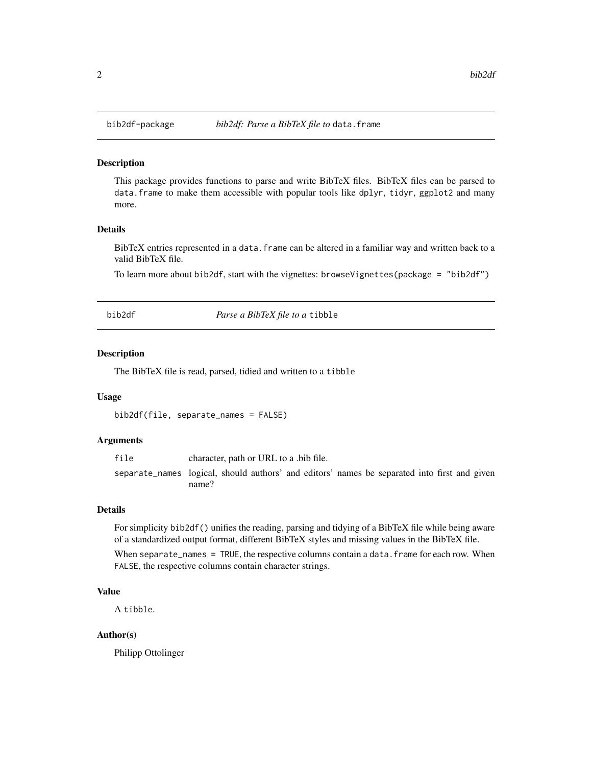<span id="page-1-0"></span>

#### Description

This package provides functions to parse and write BibTeX files. BibTeX files can be parsed to data.frame to make them accessible with popular tools like dplyr, tidyr, ggplot2 and many more.

#### Details

BibTeX entries represented in a data. frame can be altered in a familiar way and written back to a valid BibTeX file.

To learn more about bib2df, start with the vignettes: browseVignettes(package = "bib2df")

<span id="page-1-1"></span>bib2df *Parse a BibTeX file to a* tibble

#### Description

The BibTeX file is read, parsed, tidied and written to a tibble

#### Usage

bib2df(file, separate\_names = FALSE)

#### Arguments

file character, path or URL to a .bib file. separate\_names logical, should authors' and editors' names be separated into first and given name?

#### Details

For simplicity bib2df() unifies the reading, parsing and tidying of a BibTeX file while being aware of a standardized output format, different BibTeX styles and missing values in the BibTeX file.

When separate\_names = TRUE, the respective columns contain a data. frame for each row. When FALSE, the respective columns contain character strings.

#### Value

A tibble.

#### Author(s)

Philipp Ottolinger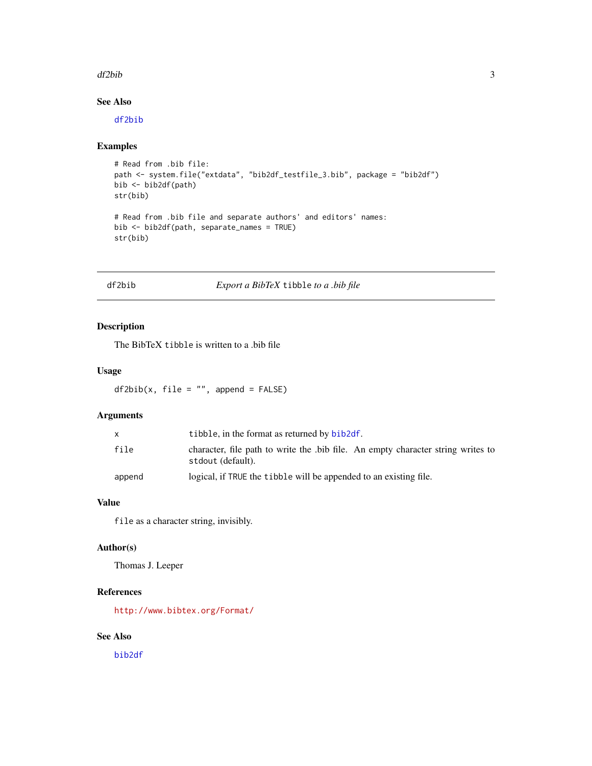#### <span id="page-2-0"></span>df2bib 3

#### See Also

[df2bib](#page-2-1)

#### Examples

```
# Read from .bib file:
path <- system.file("extdata", "bib2df_testfile_3.bib", package = "bib2df")
bib <- bib2df(path)
str(bib)
# Read from .bib file and separate authors' and editors' names:
bib <- bib2df(path, separate_names = TRUE)
str(bib)
```
<span id="page-2-1"></span>df2bib *Export a BibTeX* tibble *to a .bib file*

#### Description

The BibTeX tibble is written to a .bib file

#### Usage

 $df2bib(x, file = "", append = FALSE)$ 

#### Arguments

|        | tibble, in the format as returned by bib2df.                                                         |
|--------|------------------------------------------------------------------------------------------------------|
| file   | character, file path to write the bib file. An empty character string writes to<br>stdout (default). |
| append | logical, if TRUE the tibble will be appended to an existing file.                                    |

#### Value

file as a character string, invisibly.

#### Author(s)

Thomas J. Leeper

#### References

<http://www.bibtex.org/Format/>

#### See Also

[bib2df](#page-1-1)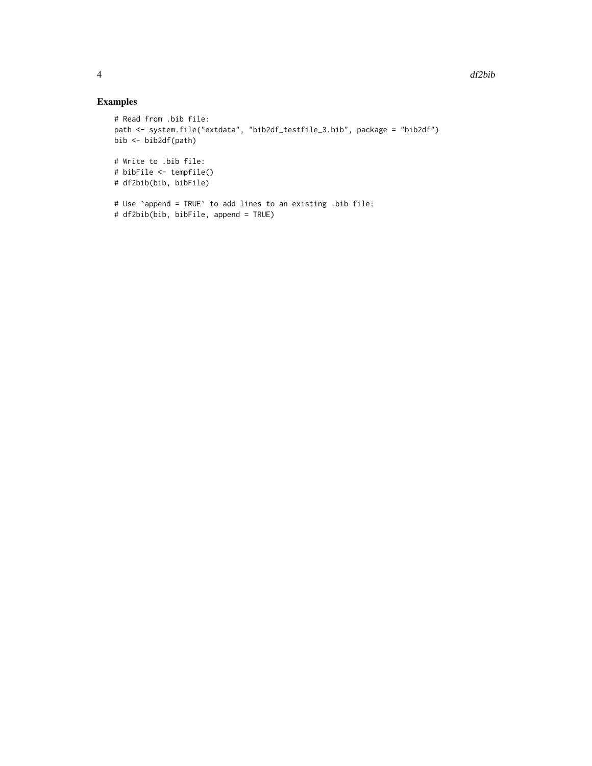#### Examples

```
# Read from .bib file:
path <- system.file("extdata", "bib2df_testfile_3.bib", package = "bib2df")
bib <- bib2df(path)
# Write to .bib file:
# bibFile <- tempfile()
# df2bib(bib, bibFile)
# Use `append = TRUE` to add lines to an existing .bib file:
# df2bib(bib, bibFile, append = TRUE)
```